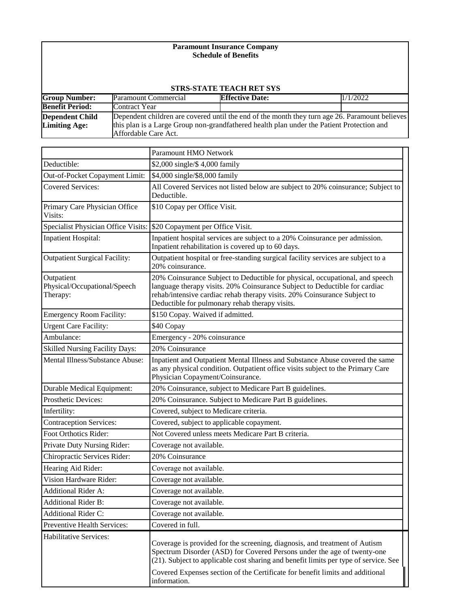# **Paramount Insurance Company Schedule of Benefits**

| <b>STRS-STATE TEACH RET SYS</b>                |                                                                                                                                                                                                                     |                        |          |  |
|------------------------------------------------|---------------------------------------------------------------------------------------------------------------------------------------------------------------------------------------------------------------------|------------------------|----------|--|
| <b>Group Number:</b>                           | Paramount Commercial                                                                                                                                                                                                | <b>Effective Date:</b> | 1/1/2022 |  |
| <b>Benefit Period:</b>                         | Contract Year                                                                                                                                                                                                       |                        |          |  |
| <b>Dependent Child</b><br><b>Limiting Age:</b> | Dependent children are covered until the end of the month they turn age 26. Paramount believes<br>this plan is a Large Group non-grandfathered health plan under the Patient Protection and<br>Affordable Care Act. |                        |          |  |

|                                                        | Paramount HMO Network                                                                                                                                                                                                                                                                    |  |
|--------------------------------------------------------|------------------------------------------------------------------------------------------------------------------------------------------------------------------------------------------------------------------------------------------------------------------------------------------|--|
| Deductible:                                            | \$2,000 single/\$4,000 family                                                                                                                                                                                                                                                            |  |
| Out-of-Pocket Copayment Limit:                         | \$4,000 single/\$8,000 family                                                                                                                                                                                                                                                            |  |
| <b>Covered Services:</b>                               | All Covered Services not listed below are subject to 20% coinsurance; Subject to<br>Deductible.                                                                                                                                                                                          |  |
| Primary Care Physician Office<br>Visits:               | \$10 Copay per Office Visit.                                                                                                                                                                                                                                                             |  |
| Specialist Physician Office Visits:                    | \$20 Copayment per Office Visit.                                                                                                                                                                                                                                                         |  |
| <b>Inpatient Hospital:</b>                             | Inpatient hospital services are subject to a 20% Coinsurance per admission.<br>Inpatient rehabilitation is covered up to 60 days.                                                                                                                                                        |  |
| <b>Outpatient Surgical Facility:</b>                   | Outpatient hospital or free-standing surgical facility services are subject to a<br>20% coinsurance.                                                                                                                                                                                     |  |
| Outpatient<br>Physical/Occupational/Speech<br>Therapy: | 20% Coinsurance Subject to Deductible for physical, occupational, and speech<br>language therapy visits. 20% Coinsurance Subject to Deductible for cardiac<br>rehab/intensive cardiac rehab therapy visits. 20% Coinsurance Subject to<br>Deductible for pulmonary rehab therapy visits. |  |
| <b>Emergency Room Facility:</b>                        | \$150 Copay. Waived if admitted.                                                                                                                                                                                                                                                         |  |
| <b>Urgent Care Facility:</b>                           | \$40 Copay                                                                                                                                                                                                                                                                               |  |
| Ambulance:                                             | Emergency - 20% coinsurance                                                                                                                                                                                                                                                              |  |
| Skilled Nursing Facility Days:                         | 20% Coinsurance                                                                                                                                                                                                                                                                          |  |
| Mental Illness/Substance Abuse:                        | Inpatient and Outpatient Mental Illness and Substance Abuse covered the same<br>as any physical condition. Outpatient office visits subject to the Primary Care<br>Physician Copayment/Coinsurance.                                                                                      |  |
| <b>Durable Medical Equipment:</b>                      | 20% Coinsurance, subject to Medicare Part B guidelines.                                                                                                                                                                                                                                  |  |
| Prosthetic Devices:                                    | 20% Coinsurance. Subject to Medicare Part B guidelines.                                                                                                                                                                                                                                  |  |
| Infertility:                                           | Covered, subject to Medicare criteria.                                                                                                                                                                                                                                                   |  |
| <b>Contraception Services:</b>                         | Covered, subject to applicable copayment.                                                                                                                                                                                                                                                |  |
| Foot Orthotics Rider:                                  | Not Covered unless meets Medicare Part B criteria.                                                                                                                                                                                                                                       |  |
| Private Duty Nursing Rider:                            | Coverage not available.                                                                                                                                                                                                                                                                  |  |
| Chiropractic Services Rider:                           | 20% Coinsurance                                                                                                                                                                                                                                                                          |  |
| Hearing Aid Rider:                                     | Coverage not available.                                                                                                                                                                                                                                                                  |  |
| Vision Hardware Rider:                                 | Coverage not available.                                                                                                                                                                                                                                                                  |  |
| Additional Rider A:                                    | Coverage not available.                                                                                                                                                                                                                                                                  |  |
| <b>Additional Rider B:</b>                             | Coverage not available.                                                                                                                                                                                                                                                                  |  |
| <b>Additional Rider C:</b>                             | Coverage not available.                                                                                                                                                                                                                                                                  |  |
| Preventive Health Services:                            | Covered in full.                                                                                                                                                                                                                                                                         |  |
| Habilitative Services:                                 | Coverage is provided for the screening, diagnosis, and treatment of Autism<br>Spectrum Disorder (ASD) for Covered Persons under the age of twenty-one<br>(21). Subject to applicable cost sharing and benefit limits per type of service. See                                            |  |
|                                                        | Covered Expenses section of the Certificate for benefit limits and additional<br>information.                                                                                                                                                                                            |  |